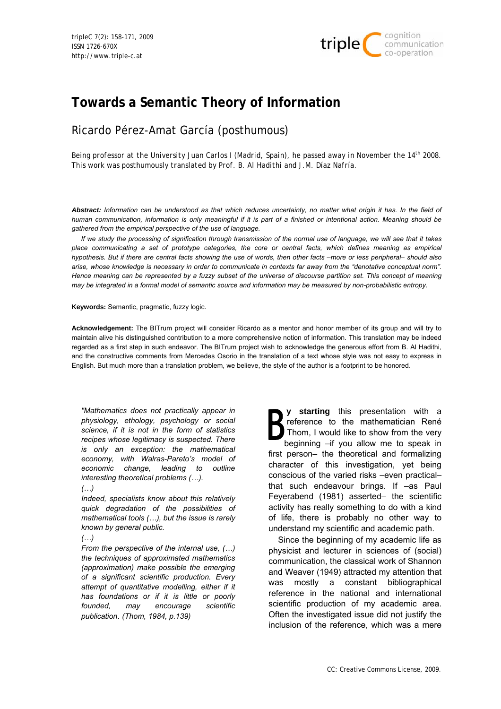

# **Towards a Semantic Theory of Information**

## Ricardo Pérez-Amat García (posthumous)

*Being professor at the University Juan Carlos I (Madrid, Spain), he passed away in November the 14th 2008. This work was posthumously translated by Prof. B. Al Hadithi and J.M. Díaz Nafría.* 

*Abstract: Information can be understood as that which reduces uncertainty, no matter what origin it has. In the field of human communication, information is only meaningful if it is part of a finished or intentional action. Meaning should be gathered from the empirical perspective of the use of language.* 

 *If we study the processing of signification through transmission of the normal use of language, we will see that it takes place communicating a set of prototype categories, the core or central facts, which defines meaning as empirical hypothesis. But if there are central facts showing the use of words, then other facts –more or less peripheral– should also arise, whose knowledge is necessary in order to communicate in contexts far away from the "denotative conceptual norm". Hence meaning can be represented by a fuzzy subset of the universe of discourse partition set. This concept of meaning may be integrated in a formal model of semantic source and information may be measured by non-probabilistic entropy.* 

#### **Keywords:** Semantic, pragmatic, fuzzy logic.

**Acknowledgement:** The BITrum project will consider Ricardo as a mentor and honor member of its group and will try to maintain alive his distinguished contribution to a more comprehensive notion of information. This translation may be indeed regarded as a first step in such endeavor. The BITrum project wish to acknowledge the generous effort from B. Al Hadithi, and the constructive comments from Mercedes Osorio in the translation of a text whose style was not easy to express in English. But much more than a translation problem, we believe, the style of the author is a footprint to be honored.

*"Mathematics does not practically appear in physiology, ethology, psychology or social science, if it is not in the form of statistics recipes whose legitimacy is suspected. There is only an exception: the mathematical economy, with Walras-Pareto's model of economic change, leading to outline interesting theoretical problems (…). (…)* 

*Indeed, specialists know about this relatively quick degradation of the possibilities of mathematical tools (…), but the issue is rarely known by general public.* 

#### *(…)*

*From the perspective of the internal use, (…) the techniques of approximated mathematics (approximation) make possible the emerging of a significant scientific production. Every attempt of quantitative modelling, either if it has foundations or if it is little or poorly founded, may encourage scientific publication*. *(Thom, 1984, p.139)*

**y starting** this presentation with a reference to the mathematician René Thom, I would like to show from the very beginning –if you allow me to speak in first person– the theoretical and formalizing character of this investigation, yet being conscious of the varied risks –even practical– that such endeavour brings. If –as Paul Feyerabend (1981) asserted– the scientific activity has really something to do with a kind of life, there is probably no other way to understand my scientific and academic path.

Since the beginning of my academic life as physicist and lecturer in sciences of (social) communication, the classical work of Shannon and Weaver (1949) attracted my attention that was mostly a constant bibliographical reference in the national and international scientific production of my academic area. Often the investigated issue did not justify the inclusion of the reference, which was a mere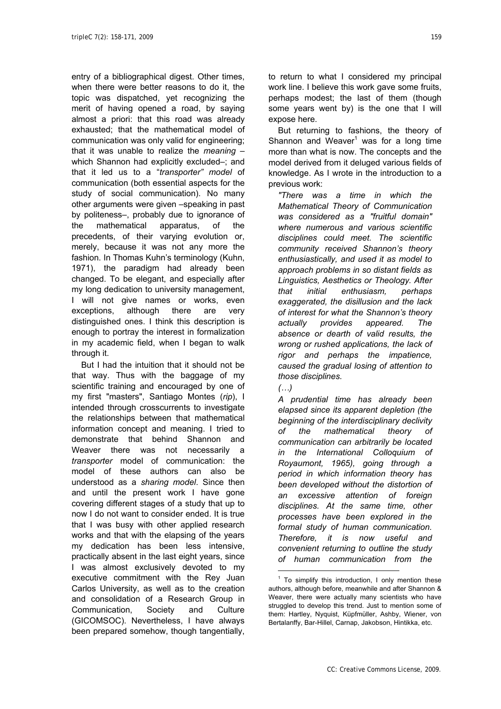entry of a bibliographical digest. Other times, when there were better reasons to do it, the topic was dispatched, yet recognizing the merit of having opened a road, by saying almost a priori: that this road was already exhausted; that the mathematical model of communication was only valid for engineering; that it was unable to realize the *meaning* – which Shannon had explicitly excluded–; and that it led us to a "*transporter" model* of communication (both essential aspects for the study of social communication). No many other arguments were given –speaking in past by politeness–, probably due to ignorance of the mathematical apparatus, of the precedents, of their varying evolution or, merely, because it was not any more the fashion. In Thomas Kuhn's terminology (Kuhn, 1971), the paradigm had already been changed. To be elegant, and especially after my long dedication to university management, I will not give names or works, even exceptions, although there are very distinguished ones. I think this description is enough to portray the interest in formalization in my academic field, when I began to walk through it.

But I had the intuition that it should not be that way. Thus with the baggage of my scientific training and encouraged by one of my first "masters", Santiago Montes (*rip*), I intended through crosscurrents to investigate the relationships between that mathematical information concept and meaning. I tried to demonstrate that behind Shannon and Weaver there was not necessarily a *transporter* model of communication: the model of these authors can also be understood as a *sharing model*. Since then and until the present work I have gone covering different stages of a study that up to now I do not want to consider ended. It is true that I was busy with other applied research works and that with the elapsing of the years my dedication has been less intensive, practically absent in the last eight years, since I was almost exclusively devoted to my executive commitment with the Rey Juan Carlos University, as well as to the creation and consolidation of a Research Group in Communication, Society and Culture (GICOMSOC). Nevertheless, I have always been prepared somehow, though tangentially,

to return to what I considered my principal work line. I believe this work gave some fruits, perhaps modest; the last of them (though some years went by) is the one that I will expose here.

But returning to fashions, the theory of Shannon and Weaver $1$  was for a long time more than what is now. The concepts and the model derived from it deluged various fields of knowledge. As I wrote in the introduction to a previous work:

*"There was a time in which the Mathematical Theory of Communication was considered as a "fruitful domain" where numerous and various scientific disciplines could meet. The scientific community received Shannon's theory enthusiastically, and used it as model to approach problems in so distant fields as Linguistics, Aesthetics or Theology. After that initial enthusiasm, perhaps exaggerated, the disillusion and the lack of interest for what the Shannon's theory actually provides appeared. The absence or dearth of valid results, the wrong or rushed applications, the lack of rigor and perhaps the impatience, caused the gradual losing of attention to those disciplines.* 

*(…)* 

l

*A prudential time has already been elapsed since its apparent depletion (the beginning of the interdisciplinary declivity of the mathematical theory of communication can arbitrarily be located in the International Colloquium of Royaumont, 1965), going through a period in which information theory has been developed without the distortion of an excessive attention of foreign disciplines. At the same time, other processes have been explored in the formal study of human communication. Therefore, it is now useful and convenient returning to outline the study of human communication from the* 

 $1$  To simplify this introduction, I only mention these authors, although before, meanwhile and after Shannon & Weaver, there were actually many scientists who have struggled to develop this trend. Just to mention some of them: Hartley, Nyquist, Küpfmüller, Ashby, Wiener, von Bertalanffy, Bar-Hillel, Carnap, Jakobson, Hintikka, etc.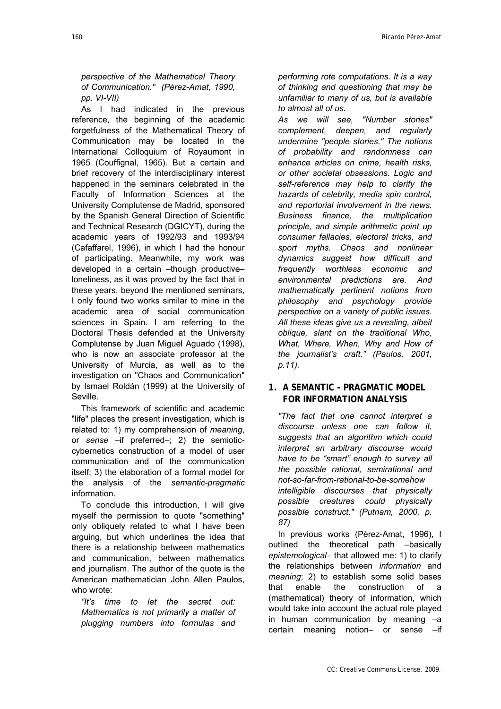## *perspective of the Mathematical Theory of Communication." (Pérez-Amat, 1990, pp. VI-VII)*

As I had indicated in the previous reference, the beginning of the academic forgetfulness of the Mathematical Theory of Communication may be located in the International Colloquium of Royaumont in 1965 (Couffignal, 1965). But a certain and brief recovery of the interdisciplinary interest happened in the seminars celebrated in the Faculty of Information Sciences at the University Complutense de Madrid, sponsored by the Spanish General Direction of Scientific and Technical Research (DGICYT), during the academic years of 1992/93 and 1993/94 (Cafaffarel, 1996), in which I had the honour of participating. Meanwhile, my work was developed in a certain –though productive– loneliness, as it was proved by the fact that in these years, beyond the mentioned seminars, I only found two works similar to mine in the academic area of social communication sciences in Spain. I am referring to the Doctoral Thesis defended at the University Complutense by Juan Miguel Aguado (1998), who is now an associate professor at the University of Murcia, as well as to the investigation on "Chaos and Communication" by Ismael Roldán (1999) at the University of Seville.

This framework of scientific and academic "life" places the present investigation, which is related to: 1) my comprehension of *meaning*, or *sense* –if preferred–; 2) the semioticcybernetics construction of a model of user communication and of the communication itself; 3) the elaboration of a formal model for the analysis of the *semantic-pragmatic* information.

To conclude this introduction, I will give myself the permission to quote "something" only obliquely related to what I have been arguing, but which underlines the idea that there is a relationship between mathematics and communication, between mathematics and journalism. The author of the quote is the American mathematician John Allen Paulos, who wrote:

*"It's time to let the secret out: Mathematics is not primarily a matter of plugging numbers into formulas and*  *performing rote computations. It is a way of thinking and questioning that may be unfamiliar to many of us, but is available to almost all of us.* 

*As we will see, "Number stories" complement, deepen, and regularly undermine "people stories." The notions of probability and randomness can enhance articles on crime, health risks, or other societal obsessions. Logic and self-reference may help to clarify the hazards of celebrity, media spin control, and reportorial involvement in the news. Business finance, the multiplication principle, and simple arithmetic point up consumer fallacies, electoral tricks, and sport myths. Chaos and nonlinear dynamics suggest how difficult and frequently worthless economic and environmental predictions are. And mathematically pertinent notions from philosophy and psychology provide perspective on a variety of public issues. All these ideas give us a revealing, albeit oblique, slant on the traditional Who, What, Where, When, Why and How of the journalist's craft." (Paulos, 2001, p.11).* 

## **1. A SEMANTIC - PRAGMATIC MODEL FOR INFORMATION ANALYSIS**

*"The fact that one cannot interpret a discourse unless one can follow it, suggests that an algorithm which could interpret an arbitrary discourse would have to be "smart" enough to survey all the possible rational, semirational and not-so-far-from-rational-to-be-somehow intelligible discourses that physically possible creatures could physically possible construct." (Putnam, 2000, p. 87)* 

In previous works (Pérez-Amat, 1996), I outlined the theoretical path –basically *epistemological*– that allowed me: 1) to clarify the relationships between *information* and *meaning*; 2) to establish some solid bases that enable the construction of a (mathematical) theory of information, which would take into account the actual role played in human communication by meaning –a certain meaning notion– or sense –if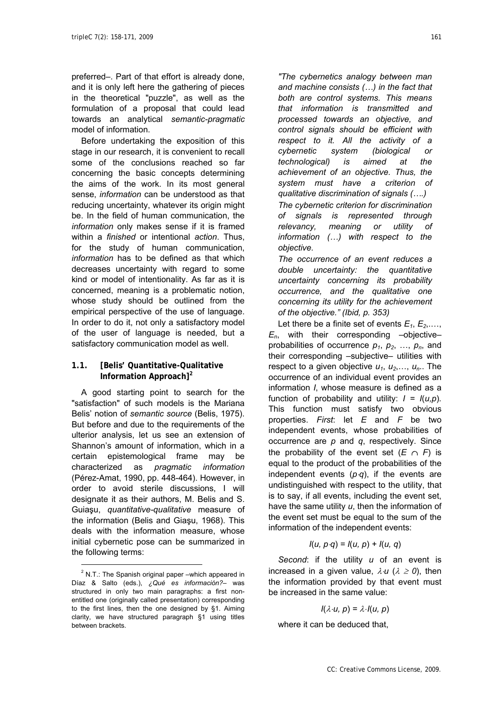preferred–. Part of that effort is already done, and it is only left here the gathering of pieces in the theoretical "puzzle", as well as the formulation of a proposal that could lead towards an analytical *semantic-pragmatic* model of information.

Before undertaking the exposition of this stage in our research, it is convenient to recall some of the conclusions reached so far concerning the basic concepts determining the aims of the work. In its most general sense, *information* can be understood as that reducing uncertainty, whatever its origin might be. In the field of human communication, the *information* only makes sense if it is framed within a *finished* or intentional *action*. Thus, for the study of human communication, *information* has to be defined as that which decreases uncertainty with regard to some kind or model of intentionality. As far as it is concerned, meaning is a problematic notion, whose study should be outlined from the empirical perspective of the use of language. In order to do it, not only a satisfactory model of the user of language is needed, but a satisfactory communication model as well.

## **1.1. [Belis' Quantitative-Qualitative Information Approach]2**

A good starting point to search for the "satisfaction" of such models is the Mariana Belis' notion of *semantic source* (Belis, 1975). But before and due to the requirements of the ulterior analysis, let us see an extension of Shannon's amount of information, which in a certain epistemological frame may be characterized as *pragmatic information* (Pérez-Amat, 1990, pp. 448-464). However, in order to avoid sterile discussions, I will designate it as their authors, M. Belis and S. Guiaşu, *quantitative-qualitative* measure of the information (Belis and Giaşu, 1968). This deals with the information measure, whose initial cybernetic pose can be summarized in the following terms:

l

*"The cybernetics analogy between man and machine consists (…) in the fact that both are control systems. This means that information is transmitted and processed towards an objective, and control signals should be efficient with respect to it. All the activity of a cybernetic system (biological or technological) is aimed at the achievement of an objective. Thus, the system must have a criterion of qualitative discrimination of signals (….)* 

*The cybernetic criterion for discrimination of signals is represented through relevancy, meaning or utility of information (…) with respect to the objective.* 

*The occurrence of an event reduces a double uncertainty: the quantitative uncertainty concerning its probability occurrence, and the qualitative one concerning its utility for the achievement of the objective." (Ibid, p. 353)* 

Let there be a finite set of events  $E_1, E_2, \ldots$ , *En*, with their corresponding –objective– probabilities of occurrence  $p_1$ ,  $p_2$ , ...,  $p_n$ , and their corresponding –subjective– utilities with respect to a given objective  $u_1, u_2, \ldots, u_n$ .. The occurrence of an individual event provides an information *I*, whose measure is defined as a function of probability and utility:  $I = I(u,p)$ . This function must satisfy two obvious properties. *First*: let *E* and *F* be two independent events, whose probabilities of occurrence are *p* and *q*, respectively. Since the probability of the event set  $(E \cap F)$  is equal to the product of the probabilities of the independent events (*p*⋅*q*), if the events are undistinguished with respect to the utility, that is to say, if all events, including the event set, have the same utility *u*, then the information of the event set must be equal to the sum of the information of the independent events:

#### *I*(*u, p*⋅*q*) *= I*(*u, p*) *+ I*(*u, q*)

*Second*: if the utility *u* of an event is increased in a given value,  $\lambda \cdot u$  ( $\lambda \ge 0$ ), then the information provided by that event must be increased in the same value:

$$
I(\lambda \cdot u, p) = \lambda \cdot I(u, p)
$$

where it can be deduced that,

 $2$  N.T.: The Spanish original paper –which appeared in Díaz & Salto (eds.), *¿Qué es información?*– was structured in only two main paragraphs: a first nonentitled one (originally called presentation) corresponding to the first lines, then the one designed by §1. Aiming clarity, we have structured paragraph §1 using titles between brackets.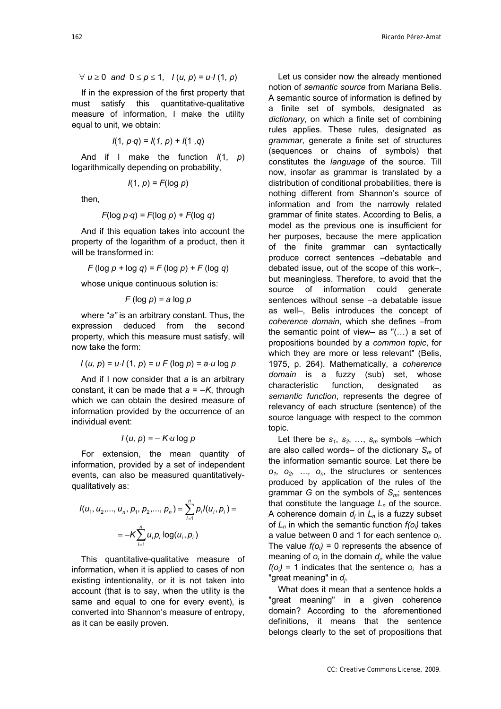∀ *u* ≥ 0 *and* 0 ≤ *p* ≤ 1*, I* (*u, p*) *= u*⋅*I* (1*, p*)

If in the expression of the first property that must satisfy this quantitative-qualitative measure of information, I make the utility equal to unit, we obtain:

$$
I(1, p \cdot q) = I(1, p) + I(1, q)
$$

And if I make the function *I*(1*, p*) logarithmically depending on probability,

$$
I(1, p) = F(\log p)
$$

then,

$$
F(\log p \cdot q) = F(\log p) + F(\log q)
$$

And if this equation takes into account the property of the logarithm of a product, then it will be transformed in:

*F* (log  $p + log q$ ) = *F* (log  $p$ ) + *F* (log  $q$ )

whose unique continuous solution is:

$$
F
$$
 (log  $p$ ) = a log  $p$ 

where "*a"* is an arbitrary constant. Thus, the expression deduced from the second property, which this measure must satisfy, will now take the form:

$$
l(u, p) = u \cdot l(1, p) = u F(\log p) = a \cdot u \log p
$$

And if I now consider that *a* is an arbitrary constant, it can be made that  $a = -K$ , through which we can obtain the desired measure of information provided by the occurrence of an individual event:

$$
I(u, p) = -K \cdot u \log p
$$

For extension, the mean quantity of information, provided by a set of independent events, can also be measured quantitativelyqualitatively as:

$$
l(u_1, u_2,..., u_n, p_1, p_2,..., p_n) = \sum_{i=1}^n p_i l(u_i, p_i) = -K \sum_{i=1}^n u_i p_i \log(u_i, p_i)
$$

This quantitative-qualitative measure of information, when it is applied to cases of non existing intentionality, or it is not taken into account (that is to say, when the utility is the same and equal to one for every event), is converted into Shannon's measure of entropy, as it can be easily proven.

Let us consider now the already mentioned notion of *semantic source* from Mariana Belis. A semantic source of information is defined by a finite set of symbols, designated as *dictionary*, on which a finite set of combining rules applies. These rules, designated as *grammar*, generate a finite set of structures (sequences or chains of symbols) that constitutes the *language* of the source. Till now, insofar as grammar is translated by a distribution of conditional probabilities, there is nothing different from Shannon's source of information and from the narrowly related grammar of finite states. According to Belis, a model as the previous one is insufficient for her purposes, because the mere application of the finite grammar can syntactically produce correct sentences –debatable and debated issue, out of the scope of this work–, but meaningless. Therefore, to avoid that the source of information could generate sentences without sense –a debatable issue as well–, Belis introduces the concept of *coherence domain*, which she defines –from the semantic point of view– as "(…) a set of propositions bounded by a *common topic*, for which they are more or less relevant" (Belis, 1975, p. 264). Mathematically, a *coherence domain* is a fuzzy (sub) set, whose characteristic function, designated as *semantic function*, represents the degree of relevancy of each structure (sentence) of the source language with respect to the common topic.

Let there be  $s_1$ ,  $s_2$ , ...,  $s_m$  symbols –which are also called words– of the dictionary *Sm* of the information semantic source. Let there be *o1, o2, …, on,* the structures or sentences produced by application of the rules of the grammar *G* on the symbols of *Sm*; sentences that constitute the language  $L_n$  of the source. A coherence domain *dj* in *Ln* is a fuzzy subset of *Ln* in which the semantic function *f(oi )* takes a value between 0 and 1 for each sentence *oi* . The value  $f(o_i) = 0$  represents the absence of meaning of  $o_i$  in the domain  $d_i$ , while the value *f(oi )* = 1 indicates that the sentence *oi* has a "great meaning" in *dj* .

What does it mean that a sentence holds a "great meaning" in a given coherence domain? According to the aforementioned definitions, it means that the sentence belongs clearly to the set of propositions that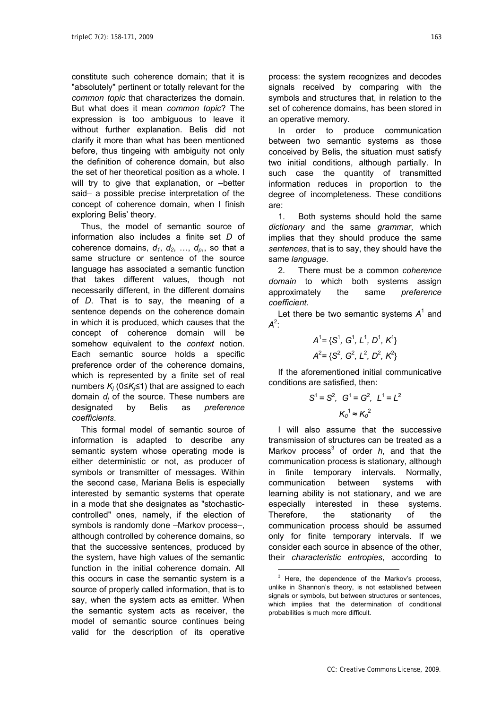constitute such coherence domain; that it is "absolutely" pertinent or totally relevant for the *common topic* that characterizes the domain. But what does it mean *common topic*? The expression is too ambiguous to leave it without further explanation. Belis did not clarify it more than what has been mentioned before, thus tingeing with ambiguity not only the definition of coherence domain, but also the set of her theoretical position as a whole. I will try to give that explanation, or –better said– a possible precise interpretation of the concept of coherence domain, when I finish exploring Belis' theory.

Thus, the model of semantic source of information also includes a finite set *D* of coherence domains,  $d_1$ ,  $d_2$ , ...,  $d_{p_1}$ , so that a same structure or sentence of the source language has associated a semantic function that takes different values, though not necessarily different, in the different domains of *D*. That is to say, the meaning of a sentence depends on the coherence domain in which it is produced, which causes that the concept of coherence domain will be somehow equivalent to the *context* notion. Each semantic source holds a specific preference order of the coherence domains, which is represented by a finite set of real numbers *Kj* (0≤*Kj ≤*1) that are assigned to each domain *dj* of the source. These numbers are designated by Belis as *preference coefficients*.

This formal model of semantic source of information is adapted to describe any semantic system whose operating mode is either deterministic or not, as producer of symbols or transmitter of messages. Within the second case, Mariana Belis is especially interested by semantic systems that operate in a mode that she designates as "stochasticcontrolled" ones, namely, if the election of symbols is randomly done –Markov process–, although controlled by coherence domains, so that the successive sentences, produced by the system, have high values of the semantic function in the initial coherence domain. All this occurs in case the semantic system is a source of properly called information, that is to say, when the system acts as emitter. When the semantic system acts as receiver, the model of semantic source continues being valid for the description of its operative

process: the system recognizes and decodes signals received by comparing with the symbols and structures that, in relation to the set of coherence domains, has been stored in an operative memory.

In order to produce communication between two semantic systems as those conceived by Belis, the situation must satisfy two initial conditions, although partially. In such case the quantity of transmitted information reduces in proportion to the degree of incompleteness. These conditions are:

1. Both systems should hold the same *dictionary* and the same *grammar*, which implies that they should produce the same *sentences*, that is to say, they should have the same *language*.

2. There must be a common *coherence domain* to which both systems assign approximately the same *preference coefficient*.

Let there be two semantic systems  $A<sup>1</sup>$  and  $A^2$ :

$$
A1 = \{S1, G1, L1, D1, K1\}
$$
  

$$
A2 = \{S2, G2, L2, D2, K2\}
$$

If the aforementioned initial communicative conditions are satisfied, then:

$$
S^1 = S^2
$$
,  $G^1 = G^2$ ,  $L^1 = L^2$   
 $K_0^1 \approx K_0^2$ 

I will also assume that the successive transmission of structures can be treated as a Markov process<sup>3</sup> of order *h*, and that the communication process is stationary, although in finite temporary intervals. Normally, communication between systems with learning ability is not stationary, and we are especially interested in these systems. Therefore, the stationarity of the communication process should be assumed only for finite temporary intervals. If we consider each source in absence of the other, their *characteristic entropies*, according to

l

 $3$  Here, the dependence of the Markov's process, unlike in Shannon's theory, is not established between signals or symbols, but between structures or sentences, which implies that the determination of conditional probabilities is much more difficult.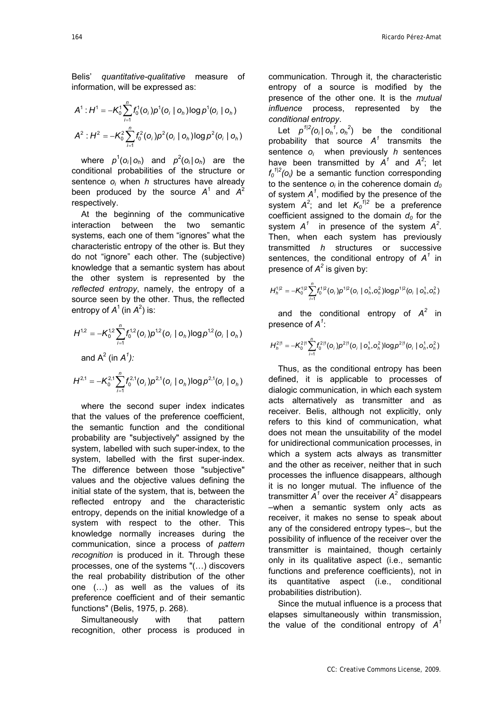Belis' *quantitative-qualitative* measure of information, will be expressed as:

$$
A^{1}: H^{1} = -K_{0}^{1} \sum_{i=1}^{n} f_{0}^{1}(o_{i}) p^{1}(o_{i} | o_{h}) \log p^{1}(o_{i} | o_{h})
$$

$$
A^{2}: H^{2} = -K_{0}^{2} \sum_{i=1}^{n} f_{0}^{2}(o_{i}) p^{2}(o_{i} | o_{h}) \log p^{2}(o_{i} | o_{h})
$$

where  $p^1(o_i|o_h)$  and  $p^2(o_i|o_h)$  are the conditional probabilities of the structure or sentence *oi* when *h* structures have already been produced by the source  $A^1$  and  $A^2$ respectively.

At the beginning of the communicative interaction between the two semantic systems, each one of them "ignores" what the characteristic entropy of the other is. But they do not "ignore" each other. The (subjective) knowledge that a semantic system has about the other system is represented by the *reflected entropy*, namely, the entropy of a source seen by the other. Thus, the reflected entropy of  $A^1$  (in  $A^2$ ) is:

$$
H^{1,2} = -K_0^{1,2} \sum_{i=1}^n f_0^{1,2}(o_i) p^{1,2}(o_i \mid o_n) \log p^{1,2}(o_i \mid o_n)
$$
  
and A<sup>2</sup> (in A<sup>1</sup>):

$$
H^{2,1} = -K_0^{2,1} \sum_{i=1}^n f_0^{2,1}(o_i) p^{2,1}(o_i \mid o_n) \log p^{2,1}(o_i \mid o_n)
$$

where the second super index indicates that the values of the preference coefficient, the semantic function and the conditional probability are "subjectively" assigned by the system, labelled with such super-index, to the system, labelled with the first super-index. The difference between those "subjective" values and the objective values defining the initial state of the system, that is, between the reflected entropy and the characteristic entropy, depends on the initial knowledge of a system with respect to the other. This knowledge normally increases during the communication, since a process of *pattern recognition* is produced in it. Through these processes, one of the systems "(…) discovers the real probability distribution of the other one (…) as well as the values of its preference coefficient and of their semantic functions" (Belis, 1975, p. 268).

Simultaneously with that pattern recognition, other process is produced in communication. Through it, the characteristic entropy of a source is modified by the presence of the other one. It is the *mutual influence* process, represented by the *conditional entropy*.

Let  $p^{1/2}(o_i | o_h^1, o_h^2)$  be the conditional probability that source  $A<sup>1</sup>$  transmits the sentence *oi* when previously *h* sentences have been transmitted by  $A^1$  and  $A^2$ ; let  $f_0^{\{1\}}(o_i)$  be a semantic function corresponding to the sentence  $o_i$  in the coherence domain  $d_o$ of system  $A^1$ , modified by the presence of the system  $A^2$ ; and let  $K_0^{-1/2}$  be a preference coefficient assigned to the domain  $d_0$  for the system  $A^1$  in presence of the system  $A^2$ . Then, when each system has previously transmitted *h* structures or successive sentences, the conditional entropy of  $A<sup>1</sup>$  in presence of  $A^2$  is given by:

$$
H_h^{1|2} = -K_0^{1|2} \sum_{i=1}^n f_0^{1|2}(o_i) p^{1|2}(o_i \mid o_h^1, o_h^2) \log p^{1|2}(o_i \mid o_h^1, o_h^2)
$$

and the conditional entropy of  $A^2$  in presence of  $A^1$ :

$$
H_h^{2|1} = -K_0^{2|1} \sum_{i=1}^n f_0^{2|1} (o_i) p^{2|1} (o_i \mid o_h^1, o_h^2) \log p^{2|1} (o_i \mid o_h^1, o_h^2)
$$

Thus, as the conditional entropy has been defined, it is applicable to processes of dialogic communication, in which each system acts alternatively as transmitter and as receiver. Belis, although not explicitly, only refers to this kind of communication, what does not mean the unsuitability of the model for unidirectional communication processes, in which a system acts always as transmitter and the other as receiver, neither that in such processes the influence disappears, although it is no longer mutual. The influence of the transmitter  $A^1$  over the receiver  $A^2$  disappears –when a semantic system only acts as receiver, it makes no sense to speak about any of the considered entropy types–, but the possibility of influence of the receiver over the transmitter is maintained, though certainly only in its qualitative aspect (i.e., semantic functions and preference coefficients), not in its quantitative aspect (i.e., conditional probabilities distribution).

Since the mutual influence is a process that elapses simultaneously within transmission, the value of the conditional entropy of *A1*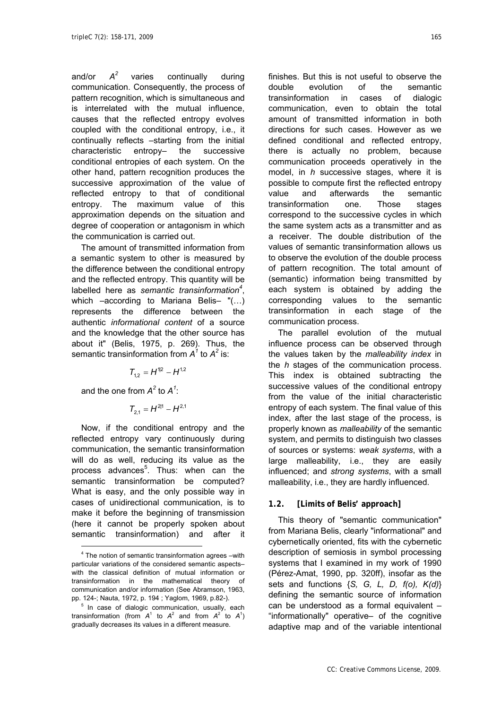and/or  $A^2$  varies continually during communication. Consequently, the process of pattern recognition, which is simultaneous and is interrelated with the mutual influence, causes that the reflected entropy evolves coupled with the conditional entropy, i.e., it continually reflects –starting from the initial characteristic entropy– the successive conditional entropies of each system. On the other hand, pattern recognition produces the successive approximation of the value of reflected entropy to that of conditional entropy. The maximum value of this approximation depends on the situation and degree of cooperation or antagonism in which the communication is carried out.

The amount of transmitted information from a semantic system to other is measured by the difference between the conditional entropy and the reflected entropy. This quantity will be labelled here as *semantic transinformation<sup>4</sup>*, which –according to Mariana Belis– "(...) represents the difference between the authentic *informational content* of a source and the knowledge that the other source has about it" (Belis, 1975, p. 269). Thus, the semantic transinformation from  $A^1$  to  $A^2$  is:

$$
T_{1,2} = H^{1/2} - H^{1,2}
$$

and the one from  $A^2$  to  $A^1$ :

l

$$
T_{2,1} = H^{2|1} - H^{2,1}
$$

Now, if the conditional entropy and the reflected entropy vary continuously during communication, the semantic transinformation will do as well, reducing its value as the process advances<sup>5</sup>. Thus: when can the semantic transinformation be computed? What is easy, and the only possible way in cases of unidirectional communication, is to make it before the beginning of transmission (here it cannot be properly spoken about semantic transinformation) and after it finishes. But this is not useful to observe the double evolution of the semantic transinformation in cases of dialogic communication, even to obtain the total amount of transmitted information in both directions for such cases. However as we defined conditional and reflected entropy, there is actually no problem, because communication proceeds operatively in the model, in *h* successive stages, where it is possible to compute first the reflected entropy value and afterwards the semantic transinformation one. Those stages correspond to the successive cycles in which the same system acts as a transmitter and as a receiver. The double distribution of the values of semantic transinformation allows us to observe the evolution of the double process of pattern recognition. The total amount of (semantic) information being transmitted by each system is obtained by adding the corresponding values to the semantic transinformation in each stage of the communication process.

The parallel evolution of the mutual influence process can be observed through the values taken by the *malleability index* in the *h* stages of the communication process. This index is obtained subtracting the successive values of the conditional entropy from the value of the initial characteristic entropy of each system. The final value of this index, after the last stage of the process, is properly known as *malleability* of the semantic system, and permits to distinguish two classes of sources or systems: *weak systems*, with a large malleability, i.e., they are easily influenced; and *strong systems*, with a small malleability, i.e., they are hardly influenced.

## **1.2. [Limits of Belis' approach]**

This theory of "semantic communication" from Mariana Belis, clearly "informational" and cybernetically oriented, fits with the cybernetic description of semiosis in symbol processing systems that I examined in my work of 1990 (Pérez-Amat, 1990, pp. 320ff), insofar as the sets and functions {*S, G, L, D, f(o), K(d)*} defining the semantic source of information can be understood as a formal equivalent – "informationally" operative– of the cognitive adaptive map and of the variable intentional

<sup>&</sup>lt;sup>4</sup> The notion of semantic transinformation agrees -with particular variations of the considered semantic aspects– with the classical definition of mutual information or transinformation in the mathematical theory of communication and/or information (See Abramson, 1963, pp. 124-; Nauta, 1972, p. 194 ; Yaglom, 1969, p.82-). 5

 $5$  In case of dialogic communication, usually, each transinformation (from  $A^1$  to  $A^2$  and from  $A^2$  to  $A^1$ ) gradually decreases its values in a different measure.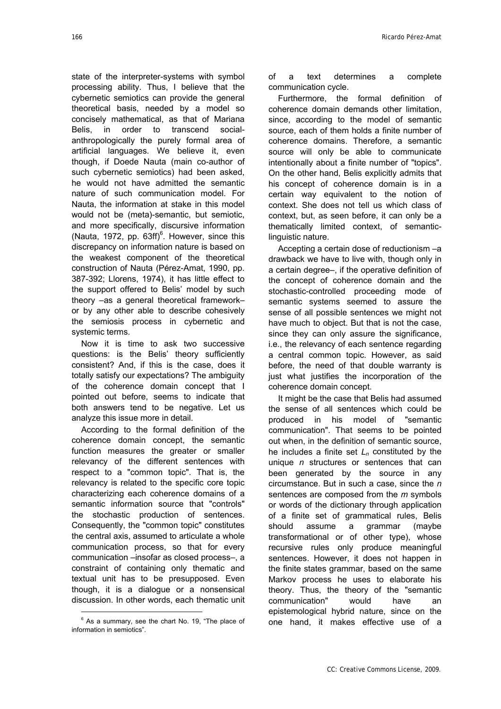state of the interpreter-systems with symbol processing ability. Thus, I believe that the cybernetic semiotics can provide the general theoretical basis, needed by a model so concisely mathematical, as that of Mariana Belis, in order to transcend socialanthropologically the purely formal area of artificial languages. We believe it, even though, if Doede Nauta (main co-author of such cybernetic semiotics) had been asked, he would not have admitted the semantic nature of such communication model. For Nauta, the information at stake in this model would not be (meta)-semantic, but semiotic, and more specifically, discursive information (Nauta, 1972, pp.  $63ff$ <sup>6</sup>. However, since this discrepancy on information nature is based on the weakest component of the theoretical construction of Nauta (Pérez-Amat, 1990, pp. 387-392; Llorens, 1974), it has little effect to the support offered to Belis' model by such theory –as a general theoretical framework– or by any other able to describe cohesively the semiosis process in cybernetic and systemic terms.

Now it is time to ask two successive questions: is the Belis' theory sufficiently consistent? And, if this is the case, does it totally satisfy our expectations? The ambiguity of the coherence domain concept that I pointed out before, seems to indicate that both answers tend to be negative. Let us analyze this issue more in detail.

According to the formal definition of the coherence domain concept, the semantic function measures the greater or smaller relevancy of the different sentences with respect to a "common topic". That is, the relevancy is related to the specific core topic characterizing each coherence domains of a semantic information source that "controls" the stochastic production of sentences. Consequently, the "common topic" constitutes the central axis, assumed to articulate a whole communication process, so that for every communication –insofar as closed process–, a constraint of containing only thematic and textual unit has to be presupposed. Even though, it is a dialogue or a nonsensical discussion. In other words, each thematic unit

l

of a text determines a complete communication cycle.

Furthermore, the formal definition of coherence domain demands other limitation, since, according to the model of semantic source, each of them holds a finite number of coherence domains. Therefore, a semantic source will only be able to communicate intentionally about a finite number of "topics". On the other hand, Belis explicitly admits that his concept of coherence domain is in a certain way equivalent to the notion of context. She does not tell us which class of context, but, as seen before, it can only be a thematically limited context, of semanticlinguistic nature.

Accepting a certain dose of reductionism –a drawback we have to live with, though only in a certain degree–, if the operative definition of the concept of coherence domain and the stochastic-controlled proceeding mode of semantic systems seemed to assure the sense of all possible sentences we might not have much to object. But that is not the case, since they can only assure the significance, i.e., the relevancy of each sentence regarding a central common topic. However, as said before, the need of that double warranty is just what justifies the incorporation of the coherence domain concept.

It might be the case that Belis had assumed the sense of all sentences which could be produced in his model of "semantic communication". That seems to be pointed out when, in the definition of semantic source, he includes a finite set  $L_n$  constituted by the unique *n* structures or sentences that can been generated by the source in any circumstance. But in such a case, since the *n* sentences are composed from the *m* symbols or words of the dictionary through application of a finite set of grammatical rules, Belis should assume a grammar (maybe transformational or of other type), whose recursive rules only produce meaningful sentences. However, it does not happen in the finite states grammar, based on the same Markov process he uses to elaborate his theory. Thus, the theory of the "semantic communication" would have an epistemological hybrid nature, since on the one hand, it makes effective use of a

 $6$  As a summary, see the chart No. 19, "The place of information in semiotics".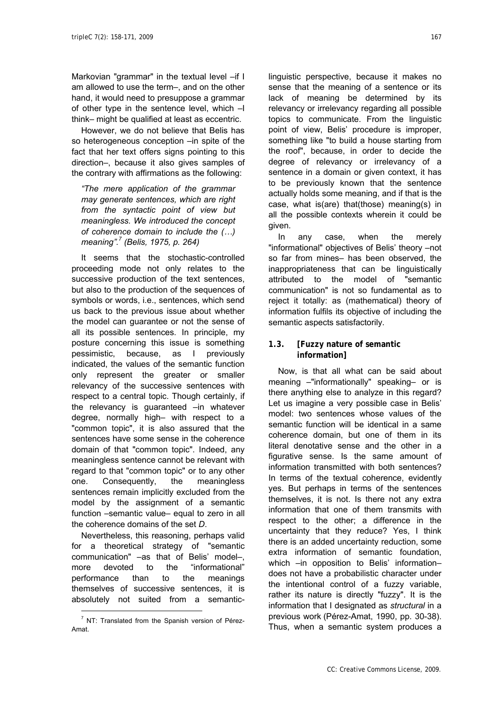Markovian "grammar" in the textual level –if I am allowed to use the term–, and on the other hand, it would need to presuppose a grammar of other type in the sentence level, which –I think– might be qualified at least as eccentric.

However, we do not believe that Belis has so heterogeneous conception –in spite of the fact that her text offers signs pointing to this direction–, because it also gives samples of the contrary with affirmations as the following:

*"The mere application of the grammar may generate sentences, which are right from the syntactic point of view but meaningless. We introduced the concept of coherence domain to include the (…) meaning".<sup>7</sup> (Belis, 1975, p. 264)* 

It seems that the stochastic-controlled proceeding mode not only relates to the successive production of the text sentences, but also to the production of the sequences of symbols or words, i.e., sentences, which send us back to the previous issue about whether the model can guarantee or not the sense of all its possible sentences. In principle, my posture concerning this issue is something pessimistic, because, as I previously indicated, the values of the semantic function only represent the greater or smaller relevancy of the successive sentences with respect to a central topic. Though certainly, if the relevancy is guaranteed –in whatever degree, normally high– with respect to a "common topic", it is also assured that the sentences have some sense in the coherence domain of that "common topic". Indeed, any meaningless sentence cannot be relevant with regard to that "common topic" or to any other one. Consequently, the meaningless sentences remain implicitly excluded from the model by the assignment of a semantic function –semantic value– equal to zero in all the coherence domains of the set *D*.

Nevertheless, this reasoning, perhaps valid for a theoretical strategy of "semantic communication" –as that of Belis' model–, more devoted to the "informational" performance than to the meanings themselves of successive sentences, it is absolutely not suited from a semantic-

l

linguistic perspective, because it makes no sense that the meaning of a sentence or its lack of meaning be determined by its relevancy or irrelevancy regarding all possible topics to communicate. From the linguistic point of view, Belis' procedure is improper, something like "to build a house starting from the roof", because, in order to decide the degree of relevancy or irrelevancy of a sentence in a domain or given context, it has to be previously known that the sentence actually holds some meaning, and if that is the case, what is(are) that(those) meaning(s) in all the possible contexts wherein it could be given.

In any case, when the merely "informational" objectives of Belis' theory –not so far from mines– has been observed, the inappropriateness that can be linguistically attributed to the model of "semantic communication" is not so fundamental as to reject it totally: as (mathematical) theory of information fulfils its objective of including the semantic aspects satisfactorily.

## **1.3. [Fuzzy nature of semantic information]**

Now, is that all what can be said about meaning –"informationally" speaking– or is there anything else to analyze in this regard? Let us imagine a very possible case in Belis' model: two sentences whose values of the semantic function will be identical in a same coherence domain, but one of them in its literal denotative sense and the other in a figurative sense. Is the same amount of information transmitted with both sentences? In terms of the textual coherence, evidently yes. But perhaps in terms of the sentences themselves, it is not. Is there not any extra information that one of them transmits with respect to the other; a difference in the uncertainty that they reduce? Yes, I think there is an added uncertainty reduction, some extra information of semantic foundation, which –in opposition to Belis' information– does not have a probabilistic character under the intentional control of a fuzzy variable, rather its nature is directly "fuzzy". It is the information that I designated as *structural* in a previous work (Pérez-Amat, 1990, pp. 30-38). Thus, when a semantic system produces a

 $7$  NT: Translated from the Spanish version of Pérez-Amat.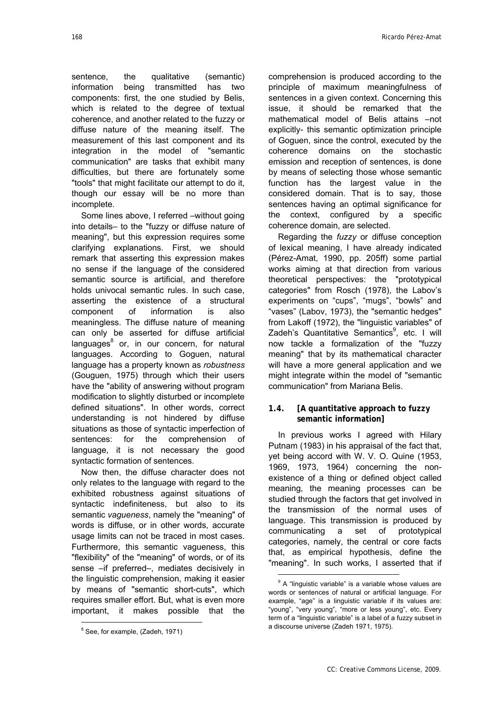sentence, the qualitative (semantic) information being transmitted has two components: first, the one studied by Belis, which is related to the degree of textual coherence, and another related to the fuzzy or diffuse nature of the meaning itself. The measurement of this last component and its integration in the model of "semantic communication" are tasks that exhibit many difficulties, but there are fortunately some "tools" that might facilitate our attempt to do it, though our essay will be no more than incomplete.

Some lines above, I referred –without going into details– to the "fuzzy or diffuse nature of meaning", but this expression requires some clarifying explanations. First, we should remark that asserting this expression makes no sense if the language of the considered semantic source is artificial, and therefore holds univocal semantic rules. In such case, asserting the existence of a structural component of information is also meaningless. The diffuse nature of meaning can only be asserted for diffuse artificial languages<sup>8</sup> or, in our concern, for natural languages. According to Goguen, natural language has a property known as *robustness* (Gouguen, 1975) through which their users have the "ability of answering without program modification to slightly disturbed or incomplete defined situations". In other words, correct understanding is not hindered by diffuse situations as those of syntactic imperfection of sentences: for the comprehension of language, it is not necessary the good syntactic formation of sentences.

Now then, the diffuse character does not only relates to the language with regard to the exhibited robustness against situations of syntactic indefiniteness, but also to its semantic *vagueness*, namely the "meaning" of words is diffuse, or in other words, accurate usage limits can not be traced in most cases. Furthermore, this semantic vagueness, this "flexibility" of the "meaning" of words, or of its sense –if preferred–, mediates decisively in the linguistic comprehension, making it easier by means of "semantic short-cuts", which requires smaller effort. But, what is even more important, it makes possible that the

l

comprehension is produced according to the principle of maximum meaningfulness of sentences in a given context. Concerning this issue, it should be remarked that the mathematical model of Belis attains –not explicitly- this semantic optimization principle of Goguen, since the control, executed by the coherence domains on the stochastic emission and reception of sentences, is done by means of selecting those whose semantic function has the largest value in the considered domain. That is to say, those sentences having an optimal significance for the context, configured by a specific coherence domain, are selected.

Regarding the *fuzzy* or diffuse conception of lexical meaning, I have already indicated (Pérez-Amat, 1990, pp. 205ff) some partial works aiming at that direction from various theoretical perspectives: the "prototypical categories" from Rosch (1978), the Labov's experiments on "cups", "mugs", "bowls" and "vases" (Labov, 1973), the "semantic hedges" from Lakoff (1972), the "linguistic variables" of Zadeh's Quantitative Semantics<sup>9</sup>, etc. I will now tackle a formalization of the "fuzzy meaning" that by its mathematical character will have a more general application and we might integrate within the model of "semantic communication" from Mariana Belis.

## **1.4. [A quantitative approach to fuzzy semantic information]**

In previous works I agreed with Hilary Putnam (1983) in his appraisal of the fact that, yet being accord with W. V. O. Quine (1953, 1969, 1973, 1964) concerning the nonexistence of a thing or defined object called meaning, the meaning processes can be studied through the factors that get involved in the transmission of the normal uses of language. This transmission is produced by communicating a set of prototypical categories, namely, the central or core facts that, as empirical hypothesis, define the "meaning". In such works, I asserted that if

l

<sup>&</sup>lt;sup>8</sup> See, for example, (Zadeh, 1971)

 $9$  A "linguistic variable" is a variable whose values are words or sentences of natural or artificial language. For example, "age" is a linguistic variable if its values are: "young", "very young", "more or less young", etc. Every term of a "linguistic variable" is a label of a fuzzy subset in a discourse universe (Zadeh 1971, 1975).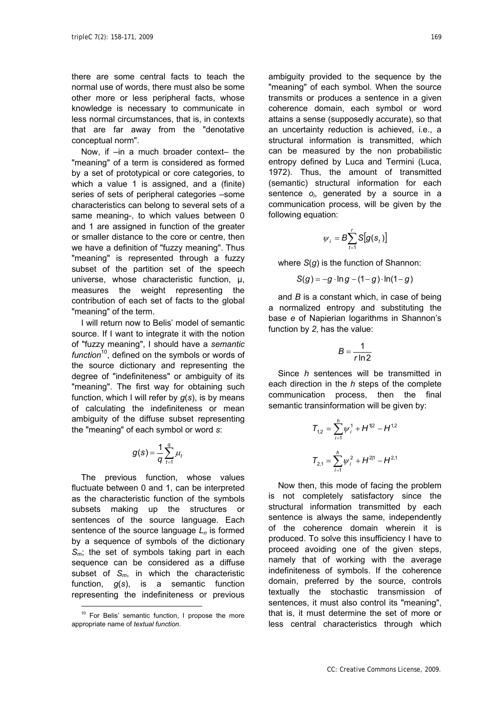there are some central facts to teach the normal use of words, there must also be some other more or less peripheral facts, whose knowledge is necessary to communicate in less normal circumstances, that is, in contexts that are far away from the "denotative conceptual norm".

Now, if –in a much broader context– the "meaning" of a term is considered as formed by a set of prototypical or core categories, to which a value 1 is assigned, and a (finite) series of sets of peripheral categories –some characteristics can belong to several sets of a same meaning-, to which values between 0 and 1 are assigned in function of the greater or smaller distance to the core or centre, then we have a definition of "fuzzy meaning". Thus "meaning" is represented through a fuzzy subset of the partition set of the speech universe, whose characteristic function, µ, measures the weight representing the contribution of each set of facts to the global "meaning" of the term.

I will return now to Belis' model of semantic source. If I want to integrate it with the notion of "fuzzy meaning", I should have a *semantic function*10, defined on the symbols or words of the source dictionary and representing the degree of "indefiniteness" or ambiguity of its "meaning". The first way for obtaining such function, which I will refer by *g*(*s*), is by means of calculating the indefiniteness or mean ambiguity of the diffuse subset representing the "meaning" of each symbol or word *s*:

$$
g(s) = \frac{1}{q} \sum_{t=1}^{q} \mu_t
$$

The previous function, whose values fluctuate between 0 and 1, can be interpreted as the characteristic function of the symbols subsets making up the structures or sentences of the source language. Each sentence of the source language  $L_n$  is formed by a sequence of symbols of the dictionary *Sm*; the set of symbols taking part in each sequence can be considered as a diffuse subset of *Sm*, in which the characteristic function, *g*(*s*), is a semantic function representing the indefiniteness or previous

l

ambiguity provided to the sequence by the "meaning" of each symbol. When the source transmits or produces a sentence in a given coherence domain, each symbol or word attains a sense (supposedly accurate), so that an uncertainty reduction is achieved, i.e., a structural information is transmitted, which can be measured by the non probabilistic entropy defined by Luca and Termini (Luca, 1972). Thus, the amount of transmitted (semantic) structural information for each sentence o<sub>i</sub>, generated by a source in a communication process, will be given by the following equation:

$$
\psi_i = B \sum_{t=1}^r S[g(\mathbf{s}_t)]
$$

where *S*(*g*) is the function of Shannon:

$$
S(g) = -g \cdot \ln g - (1 - g) \cdot \ln(1 - g)
$$

and *B* is a constant which, in case of being a normalized entropy and substituting the base *e* of Napierian logarithms in Shannon's function by *2*, has the value:

$$
B=\frac{1}{r\ln 2}
$$

Since *h* sentences will be transmitted in each direction in the *h* steps of the complete communication process, then the final semantic transinformation will be given by:

$$
T_{1,2} = \sum_{i=1}^{h} \psi_i^1 + H^{1/2} - H^{1,2}
$$

$$
T_{2,1} = \sum_{i=1}^{h} \psi_i^2 + H^{2/1} - H^{2,1}
$$

Now then, this mode of facing the problem is not completely satisfactory since the structural information transmitted by each sentence is always the same, independently of the coherence domain wherein it is produced. To solve this insufficiency I have to proceed avoiding one of the given steps, namely that of working with the average indefiniteness of symbols. If the coherence domain, preferred by the source, controls textually the stochastic transmission of sentences, it must also control its "meaning", that is, it must determine the set of more or less central characteristics through which

<sup>&</sup>lt;sup>10</sup> For Belis' semantic function, I propose the more appropriate name of *textual function*.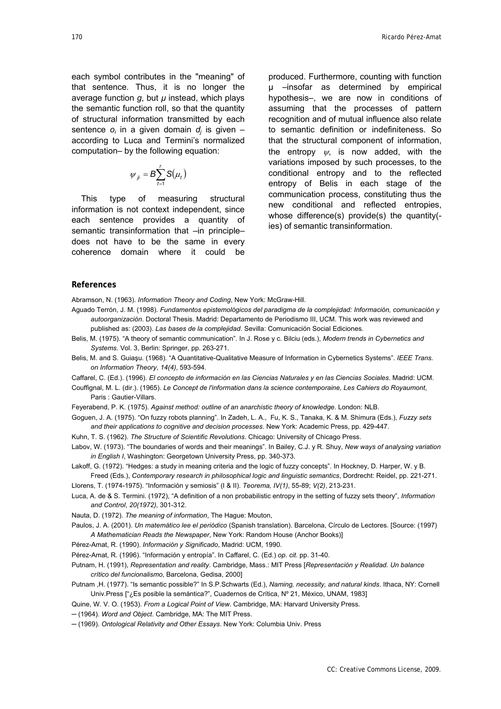each symbol contributes in the "meaning" of that sentence. Thus, it is no longer the average function *g*, but *µ* instead, which plays the semantic function roll, so that the quantity of structural information transmitted by each sentence *o<sub>i</sub>* in a given domain *d<sub>i</sub>* is given – according to Luca and Termini's normalized computation– by the following equation:

$$
\psi_{ji} = B \sum_{t=1}^r S(\mu_t)
$$

This type of measuring structural information is not context independent, since each sentence provides a quantity of semantic transinformation that -in principledoes not have to be the same in every coherence domain where it could be

produced. Furthermore, counting with function µ –insofar as determined by empirical hypothesis–, we are now in conditions of assuming that the processes of pattern recognition and of mutual influence also relate to semantic definition or indefiniteness. So that the structural component of information, the entropy  $\psi$ , is now added, with the variations imposed by such processes, to the conditional entropy and to the reflected entropy of Belis in each stage of the communication process, constituting thus the new conditional and reflected entropies, whose difference(s) provide(s) the quantity( ies) of semantic transinformation.

#### **References**

Abramson, N. (1963). *Information Theory and Coding*, New York: McGraw-Hill.

- Aguado Terrón, J. M. (1998). *Fundamentos epistemológicos del paradigma de la complejidad: Información, comunicación y autoorganización*. Doctoral Thesis. Madrid: Departamento de Periodismo III, UCM. This work was reviewed and published as: (2003). *Las bases de la complejidad*. Sevilla: Comunicación Social Ediciones.
- Belis, M. (1975). "A theory of semantic communication". In J. Rose y c. Bilciu (eds.), *Modern trends in Cybernetics and Systems*. Vol. 3, Berlin: Springer, pp. 263-271.
- Belis, M. and S. Guiaşu. (1968). "A Quantitative-Qualitative Measure of Information in Cybernetics Systems". *IEEE Trans. on Information Theory*, *14(4)*, 593-594.
- Caffarel, C. (Ed.). (1996). *El concepto de información en las Ciencias Naturales y en las Ciencias Sociales*. Madrid: UCM.
- Couffignal, M. L. (dir.). (1965). *Le Concept de l'information dans la science contemporaine, Les Cahiers do Royaumont*, Paris : Gautier-Villars.
- Feyerabend, P. K. (1975). *Against method: outline of an anarchistic theory of knowledge*. London: NLB.
- Goguen, J. A. (1975). "On fuzzy robots planning". In Zadeh, L. A., Fu, K. S., Tanaka, K. & M. Shimura (Eds.), *Fuzzy sets and their applications to cognitive and decision processes*. New York: Academic Press, pp. 429-447.

Kuhn, T. S. (1962). *The Structure of Scientific Revolutions*. Chicago: University of Chicago Press.

- Labov, W. (1973). "The boundaries of words and their meanings". In Bailey, C.J. y R. Shuy, *New ways of analysing variation in English I*, Washington: Georgetown University Press, pp. 340-373.
- Lakoff, G. (1972). "Hedges: a study in meaning criteria and the logic of fuzzy concepts". In Hockney, D. Harper, W. y B. Freed (Eds.), *Contemporary research in philosophical logic and linguistic semantics*, Dordrecht: Reidel, pp. 221-271.

Llorens, T. (1974-1975). "Información y semiosis" (I & II). *Teorema, IV(1)*, 55-89; *V(2)*, 213-231.

Luca, A. de & S. Termini. (1972), "A definition of a non probabilistic entropy in the setting of fuzzy sets theory", *Information and Control*, *20(1972)*, 301-312.

Nauta, D. (1972). *The meaning of information*, The Hague: Mouton,

- Paulos, J. A. (2001). *Un matemático lee el periódico* (Spanish translation). Barcelona, Círculo de Lectores. [Source: (1997) *A Mathematician Reads the Newspaper*, New York: Random House (Anchor Books)]
- Pérez-Amat, R. (1990). *Información y Significado*, Madrid: UCM, 1990.

Pérez-Amat, R. (1996). "Información y entropía". In Caffarel, C. (Ed.) *op. cit.* pp. 31-40.

Putnam, H. (1991), *Representation and reality*. Cambridge, Mass.: MIT Press [*Representación y Realidad. Un balance crítico del funcionalismo*, Barcelona, Gedisa, 2000]

- Putnam ,H. (1977). "Is semantic possible?" In S.P.Schwarts (Ed.), *Naming, necessity, and natural kinds*. Ithaca, NY: Cornell Univ.Press ["¿Es posible la semántica?", Cuadernos de Crítica, Nº 21, México, UNAM, 1983]
- Quine, W. V. O. (1953). *From a Logical Point of View*. Cambridge, MA: Harvard University Press.
- ─ (1964). *Word and Object*. Cambridge, MA: The MIT Press.
- ─ (1969). *Ontological Relativity and Other Essays*. New York: Columbia Univ. Press